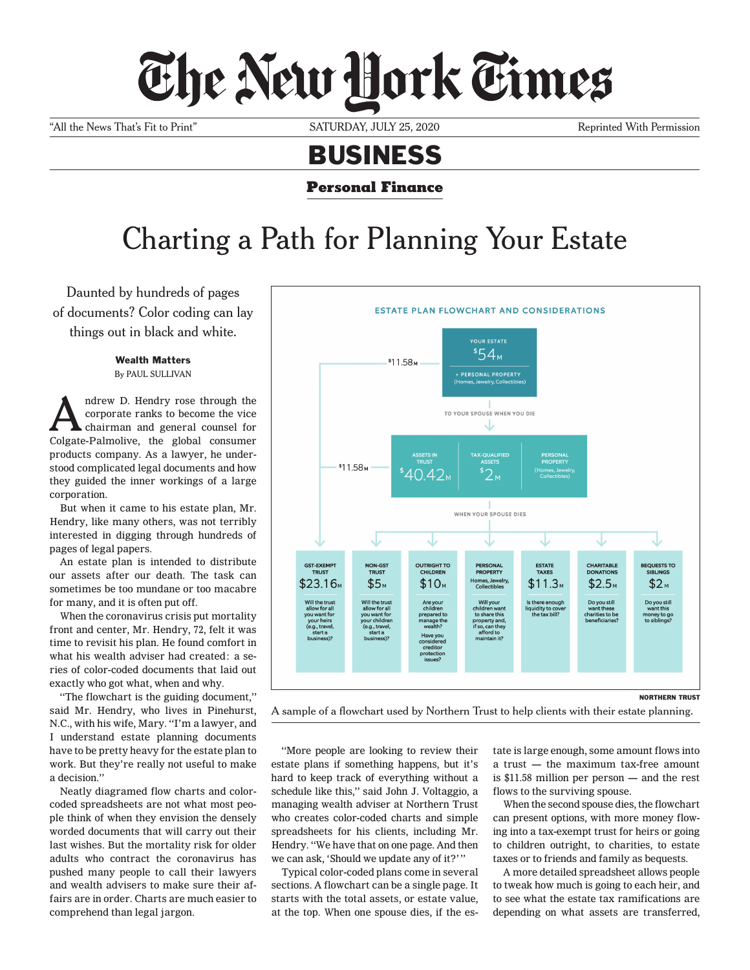## The New Hork Times

"All the News That's Fit to Print" SATURDAY, JULY 25, 2020 Reprinted With Permission

## BUSINESS

Personal Finance

## Charting a Path for Planning Your Estate

Daunted by hundreds of pages of documents? Color coding can lay things out in black and white.

> Wealth Matters By PAUL SULLIVAN

ndrew D. Hendry rose through the corporate ranks to become the vice chairman and general counsel for Colgate-Palmolive, the global consumer products company. As a lawyer, he understood complicated legal documents and how they guided the inner workings of a large corporation.

But when it came to his estate plan, Mr. Hendry, like many others, was not terribly interested in digging through hundreds of pages of legal papers.

An estate plan is intended to distribute our assets after our death. The task can sometimes be too mundane or too macabre for many, and it is often put off.

When the coronavirus crisis put mortality front and center, Mr. Hendry, 72, felt it was time to revisit his plan. He found comfort in what his wealth adviser had created: a series of color-coded documents that laid out exactly who got what, when and why.

"The flowchart is the guiding document," said Mr. Hendry, who lives in Pinehurst, N.C., with his wife, Mary. "I'm a lawyer, and I understand estate planning documents have to be pretty heavy for the estate plan to work. But they're really not useful to make a decision."

Neatly diagramed flow charts and colorcoded spreadsheets are not what most people think of when they envision the densely worded documents that will carry out their last wishes. But the mortality risk for older adults who contract the coronavirus has pushed many people to call their lawyers and wealth advisers to make sure their affairs are in order. Charts are much easier to comprehend than legal jargon.



A sample of a flowchart used by Northern Trust to help clients with their estate planning.

"More people are looking to review their estate plans if something happens, but it's hard to keep track of everything without a schedule like this," said John J. Voltaggio, a managing wealth adviser at Northern Trust who creates color-coded charts and simple spreadsheets for his clients, including Mr. Hendry. "We have that on one page. And then we can ask, 'Should we update any of it?'"

Typical color-coded plans come in several sections. A flowchart can be a single page. It starts with the total assets, or estate value, at the top. When one spouse dies, if the estate is large enough, some amount flows into a trust — the maximum tax-free amount is \$11.58 million per person — and the rest flows to the surviving spouse.

When the second spouse dies, the flowchart can present options, with more money flowing into a tax-exempt trust for heirs or going to children outright, to charities, to estate taxes or to friends and family as bequests.

A more detailed spreadsheet allows people to tweak how much is going to each heir, and to see what the estate tax ramifications are depending on what assets are transferred,